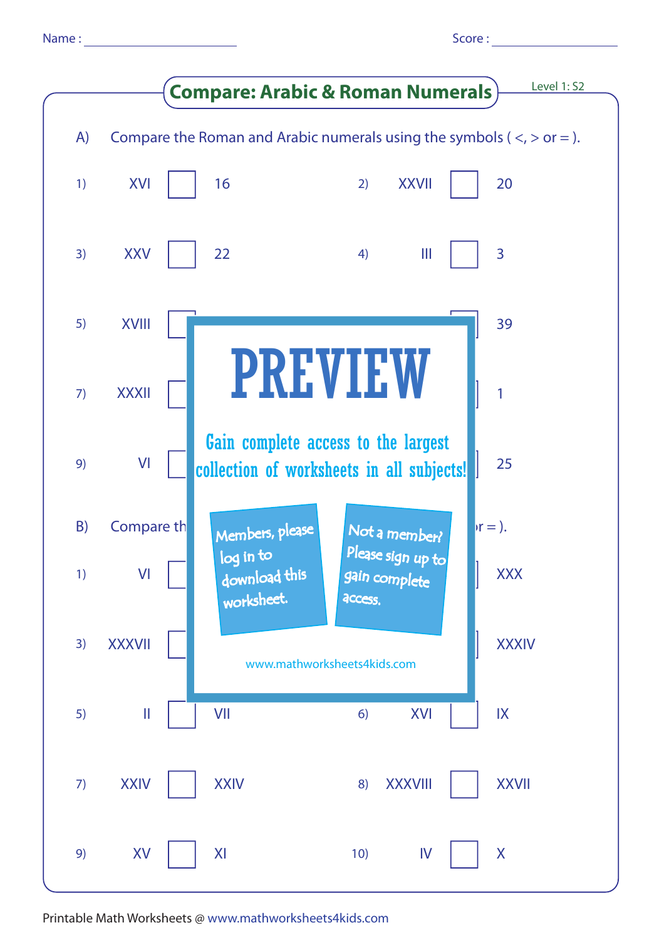